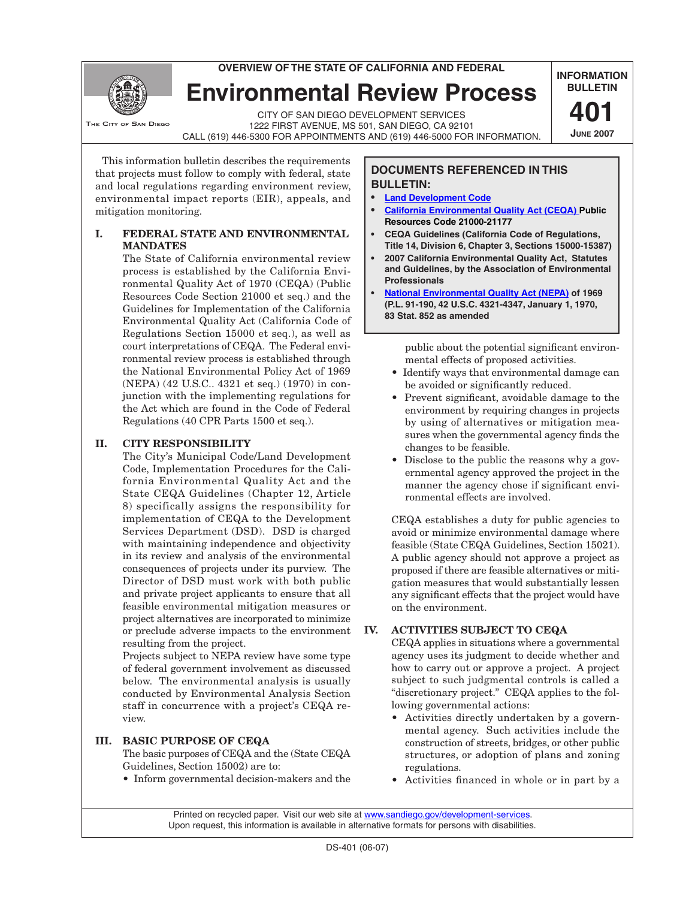**overview of the state of california and federal**

**Environmental Review Process**

THE CITY OF SAN DIEGO

CITY OF SAN DIEGO Development Services 1222 FIRST AVENUE, MS 501, SAN DIEGO, CA 92101 Call (619) 446-5300 for appointments and (619) 446-5000 for information.

This information bulletin describes the requirements that projects must follow to comply with federal, state and local regulations regarding environment review, environmental impact reports (EIR), appeals, and mitigation monitoring.

## **I. FEDERAL STATE AND ENVIRONMENTAL MANDATES**

The State of California environmental review process is established by the California Environmental Quality Act of 1970 (CEQA) (Public Resources Code Section 21000 et seq.) and the Guidelines for Implementation of the California Environmental Quality Act (California Code of Regulations Section 15000 et seq.), as well as court interpretations of CEQA. The Federal environmental review process is established through the National Environmental Policy Act of 1969 (NEPA) (42 U.S.C.. 4321 et seq.) (1970) in conjunction with the implementing regulations for the Act which are found in the Code of Federal Regulations (40 CPR Parts 1500 et seq.).

# **Ii. CITY RESPONSIBILITY**

The City's Municipal Code/Land Development Code, Implementation Procedures for the California Environmental Quality Act and the State CEQA Guidelines (Chapter 12, Article 8) specifically assigns the responsibility for implementation of CEQA to the Development Services Department (DSD). DSD is charged with maintaining independence and objectivity in its review and analysis of the environmental consequences of projects under its purview. The Director of DSD must work with both public and private project applicants to ensure that all feasible environmental mitigation measures or project alternatives are incorporated to minimize or preclude adverse impacts to the environment resulting from the project.

Projects subject to NEPA review have some type of federal government involvement as discussed below. The environmental analysis is usually conducted by Environmental Analysis Section staff in concurrence with a project's CEQA review.

## **IIi. BASIC PURPOSE OF CEQA**

The basic purposes of CEQA and the (State CEQA Guidelines, Section 15002) are to:

• Inform governmental decision-makers and the

## **DOCUMENTS REFERENCED IN THIS BULLETIN:**

- **• [Land Development Code](http://www.sandiego.gov/development-services/industry/landdevcode/index.shtml)**
- **• [California Environmental Quality Act \(CEQA\) Public](http://www.ceres.ca.gov/ceqa/)  [Resources Code 21000-21177](http://www.ceres.ca.gov/ceqa/)**

**INFORMATION BULLETIN**

> **401 June 2007**

- **CEQA Guidelines (California Code of Regulations, Title 14, Division 6, Chapter 3, Sections 15000-15387)**
- **• 2007 California Environmental Quality Act, Statutes and Guidelines, by the Association of Environmental Professionals**
- **• [National Environmental Quality Act \(NEPA\)](http://www.nepa.gov/nepa/regs/nepa/nepaeqia.htm) of 1969 (P.L. 91-190, 42 U.S.C. 4321-4347, January 1, 1970, 83 Stat. 852 as amended**

public about the potential significant environmental effects of proposed activities.

- Identify ways that environmental damage can be avoided or significantly reduced.
- Prevent significant, avoidable damage to the environment by requiring changes in projects by using of alternatives or mitigation measures when the governmental agency finds the changes to be feasible.
- Disclose to the public the reasons why a governmental agency approved the project in the manner the agency chose if significant environmental effects are involved.

CEQA establishes a duty for public agencies to avoid or minimize environmental damage where feasible (State CEQA Guidelines, Section 15021). A public agency should not approve a project as proposed if there are feasible alternatives or mitigation measures that would substantially lessen any significant effects that the project would have on the environment.

# **IV. ACTIVITIES SUBJECT TO CEQA**

CEQA applies in situations where a governmental agency uses its judgment to decide whether and how to carry out or approve a project. A project subject to such judgmental controls is called a "discretionary project." CEQA applies to the following governmental actions:

- Activities directly undertaken by a governmental agency. Such activities include the construction of streets, bridges, or other public structures, or adoption of plans and zoning regulations.
- Activities financed in whole or in part by a

 Printed on recycled paper. Visit our web site at [www.sandiego.gov/development-services.](http://sandiego.gov/development-services) Upon request, this information is available in alternative formats for persons with disabilities.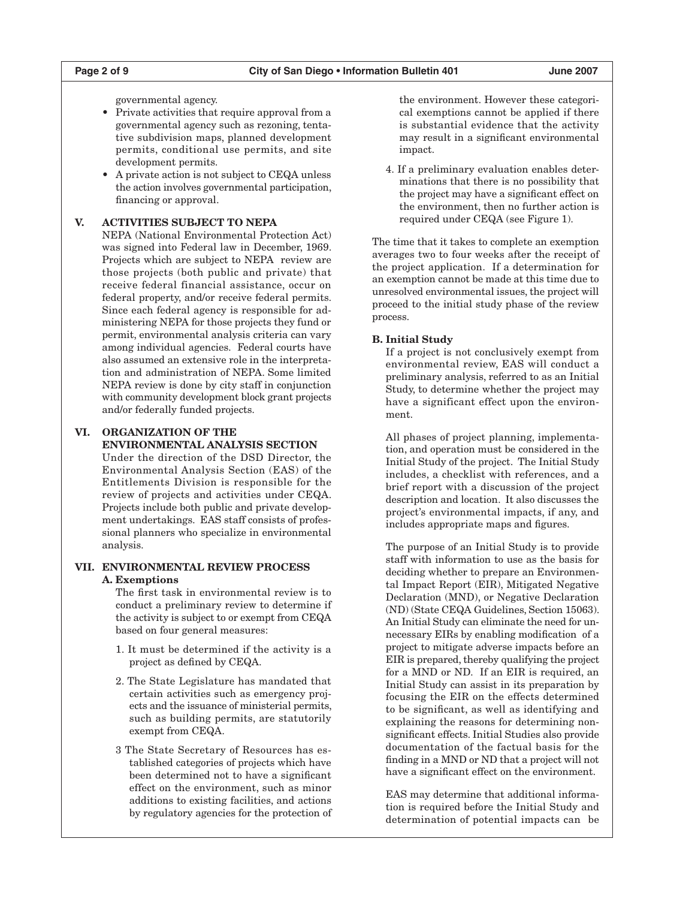governmental agency.

- Private activities that require approval from a governmental agency such as rezoning, tentative subdivision maps, planned development permits, conditional use permits, and site development permits.
- A private action is not subject to CEQA unless the action involves governmental participation, financing or approval.

#### **V. ACTIVITIES SUBJECT TO NEPA**

NEPA (National Environmental Protection Act) was signed into Federal law in December, 1969. Projects which are subject to NEPA review are those projects (both public and private) that receive federal financial assistance, occur on federal property, and/or receive federal permits. Since each federal agency is responsible for administering NEPA for those projects they fund or permit, environmental analysis criteria can vary among individual agencies. Federal courts have also assumed an extensive role in the interpretation and administration of NEPA. Some limited NEPA review is done by city staff in conjunction with community development block grant projects and/or federally funded projects.

#### **VI. ORGANIZATION OF THE ENVIRONMENTAL ANALYSIS SECTION**

Under the direction of the DSD Director, the Environmental Analysis Section (EAS) of the Entitlements Division is responsible for the review of projects and activities under CEQA. Projects include both public and private development undertakings. EAS staff consists of professional planners who specialize in environmental analysis.

#### **VII. ENVIRONMENTAL REVIEW PROCESS A. Exemptions**

The first task in environmental review is to conduct a preliminary review to determine if the activity is subject to or exempt from CEQA based on four general measures:

- 1. It must be determined if the activity is a project as defined by CEQA.
- 2. The State Legislature has mandated that certain activities such as emergency projects and the issuance of ministerial permits, such as building permits, are statutorily exempt from CEQA.
- 3 The State Secretary of Resources has established categories of projects which have been determined not to have a significant effect on the environment, such as minor additions to existing facilities, and actions by regulatory agencies for the protection of

the environment. However these categorical exemptions cannot be applied if there is substantial evidence that the activity may result in a significant environmental impact.

4. If a preliminary evaluation enables determinations that there is no possibility that the project may have a significant effect on the environment, then no further action is required under CEQA (see Figure 1).

The time that it takes to complete an exemption averages two to four weeks after the receipt of the project application. If a determination for an exemption cannot be made at this time due to unresolved environmental issues, the project will proceed to the initial study phase of the review process.

#### **B. Initial Study**

If a project is not conclusively exempt from environmental review, EAS will conduct a preliminary analysis, referred to as an Initial Study, to determine whether the project may have a significant effect upon the environment.

All phases of project planning, implementation, and operation must be considered in the Initial Study of the project. The Initial Study includes, a checklist with references, and a brief report with a discussion of the project description and location. It also discusses the project's environmental impacts, if any, and includes appropriate maps and figures.

The purpose of an Initial Study is to provide staff with information to use as the basis for deciding whether to prepare an Environmental Impact Report (EIR), Mitigated Negative Declaration (MND), or Negative Declaration (ND) (State CEQA Guidelines, Section 15063). An Initial Study can eliminate the need for unnecessary EIRs by enabling modification of a project to mitigate adverse impacts before an EIR is prepared, thereby qualifying the project for a MND or ND. If an EIR is required, an Initial Study can assist in its preparation by focusing the EIR on the effects determined to be significant, as well as identifying and explaining the reasons for determining nonsignificant effects. Initial Studies also provide documentation of the factual basis for the finding in a MND or ND that a project will not have a significant effect on the environment.

EAS may determine that additional information is required before the Initial Study and determination of potential impacts can be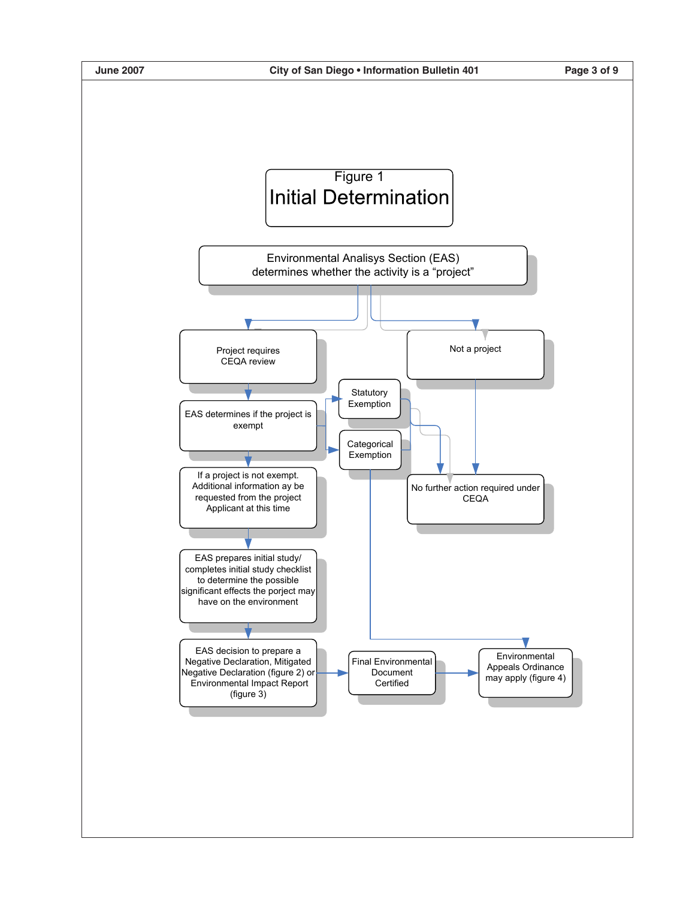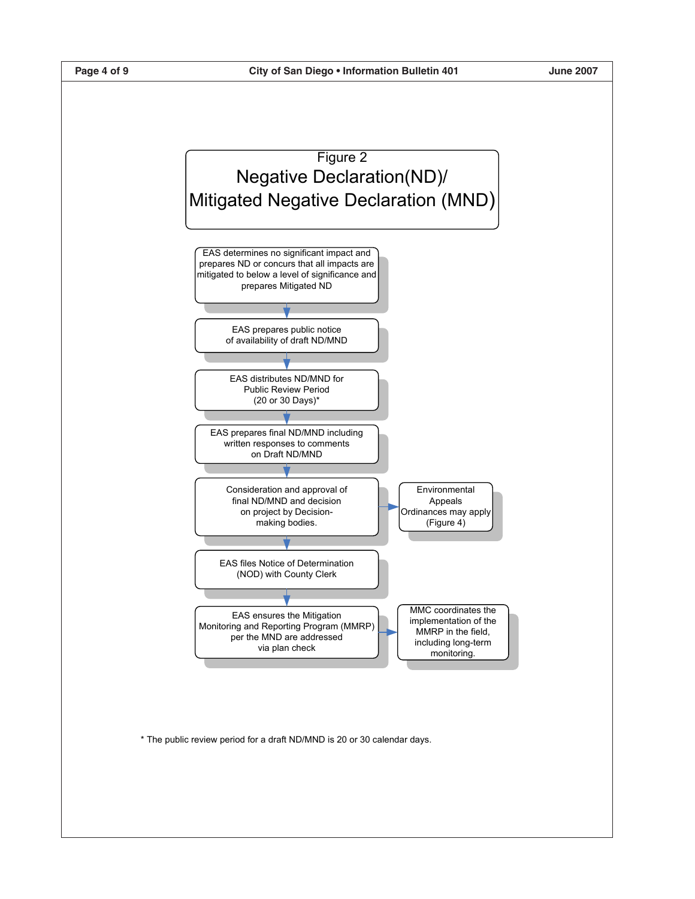

\* The public review period for a draft ND/MND is 20 or 30 calendar days.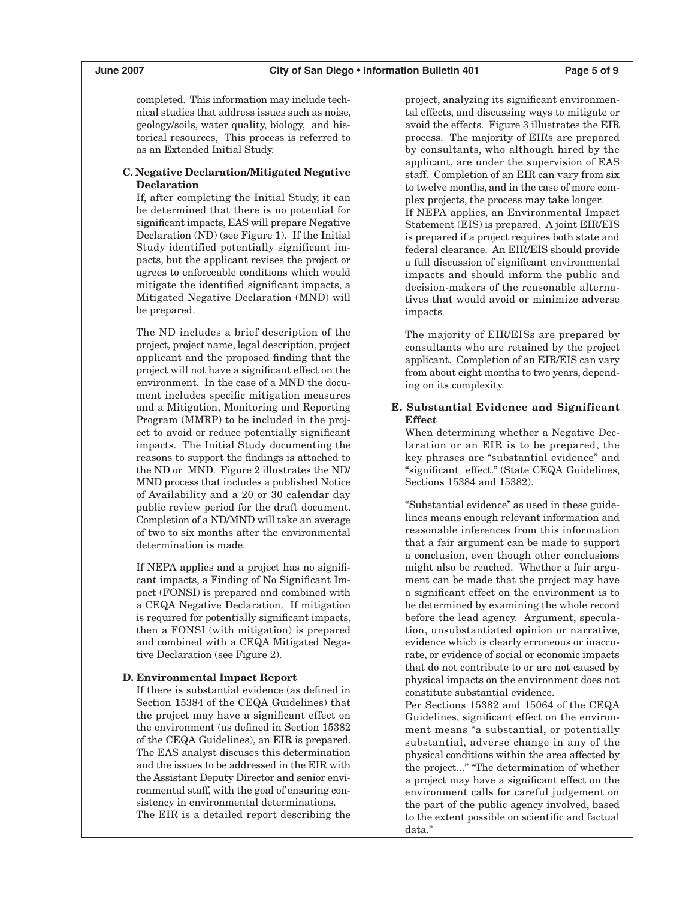completed. This information may include technical studies that address issues such as noise, geology/soils, water quality, biology, and historical resources, This process is referred to as an Extended Initial Study.

#### **C. Negative Declaration/Mitigated Negative Declaration**

If, after completing the Initial Study, it can be determined that there is no potential for significant impacts, EAS will prepare Negative Declaration (ND) (see Figure 1). If the Initial Study identified potentially significant impacts, but the applicant revises the project or agrees to enforceable conditions which would mitigate the identified significant impacts, a Mitigated Negative Declaration (MND) will be prepared.

The ND includes a brief description of the project, project name, legal description, project applicant and the proposed finding that the project will not have a significant effect on the environment. In the case of a MND the document includes specific mitigation measures and a Mitigation, Monitoring and Reporting Program (MMRP) to be included in the project to avoid or reduce potentially significant impacts. The Initial Study documenting the reasons to support the findings is attached to the ND or MND. Figure 2 illustrates the ND/ MND process that includes a published Notice of Availability and a 20 or 30 calendar day public review period for the draft document. Completion of a ND/MND will take an average of two to six months after the environmental determination is made.

If NEPA applies and a project has no significant impacts, a Finding of No Significant Impact (FONSI) is prepared and combined with a CEQA Negative Declaration. If mitigation is required for potentially significant impacts, then a FONSI (with mitigation) is prepared and combined with a CEQA Mitigated Negative Declaration (see Figure 2).

#### **D. Environmental Impact Report**

If there is substantial evidence (as defined in Section 15384 of the CEQA Guidelines) that the project may have a significant effect on the environment (as defined in Section 15382 of the CEQA Guidelines), an EIR is prepared. The EAS analyst discuses this determination and the issues to be addressed in the EIR with the Assistant Deputy Director and senior environmental staff, with the goal of ensuring consistency in environmental determinations. The EIR is a detailed report describing the project, analyzing its significant environmental effects, and discussing ways to mitigate or avoid the effects. Figure 3 illustrates the EIR process. The majority of EIRs are prepared by consultants, who although hired by the applicant, are under the supervision of EAS staff. Completion of an EIR can vary from six to twelve months, and in the case of more complex projects, the process may take longer. If NEPA applies, an Environmental Impact Statement (EIS) is prepared. A joint EIR/EIS is prepared if a project requires both state and federal clearance. An EIR/EIS should provide a full discussion of significant environmental impacts and should inform the public and decision-makers of the reasonable alternatives that would avoid or minimize adverse impacts.

The majority of EIR/EISs are prepared by consultants who are retained by the project applicant. Completion of an EIR/EIS can vary from about eight months to two years, depending on its complexity.

#### **E. Substantial Evidence and Significant Effect**

When determining whether a Negative Declaration or an EIR is to be prepared, the key phrases are "substantial evidence" and "significant effect." (State CEQA Guidelines, Sections 15384 and 15382).

"Substantial evidence" as used in these guidelines means enough relevant information and reasonable inferences from this information that a fair argument can be made to support a conclusion, even though other conclusions might also be reached. Whether a fair argument can be made that the project may have a significant effect on the environment is to be determined by examining the whole record before the lead agency. Argument, speculation, unsubstantiated opinion or narrative, evidence which is clearly erroneous or inaccurate, or evidence of social or economic impacts that do not contribute to or are not caused by physical impacts on the environment does not constitute substantial evidence.

Per Sections 15382 and 15064 of the CEQA Guidelines, significant effect on the environment means "a substantial, or potentially substantial, adverse change in any of the physical conditions within the area affected by the project..." "The determination of whether a project may have a significant effect on the environment calls for careful judgement on the part of the public agency involved, based to the extent possible on scientific and factual data."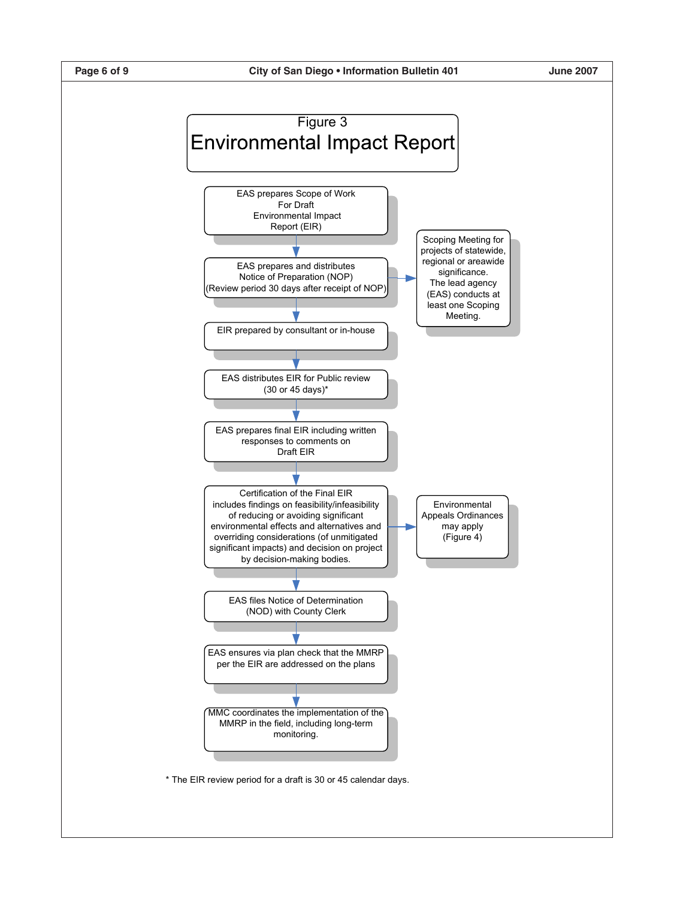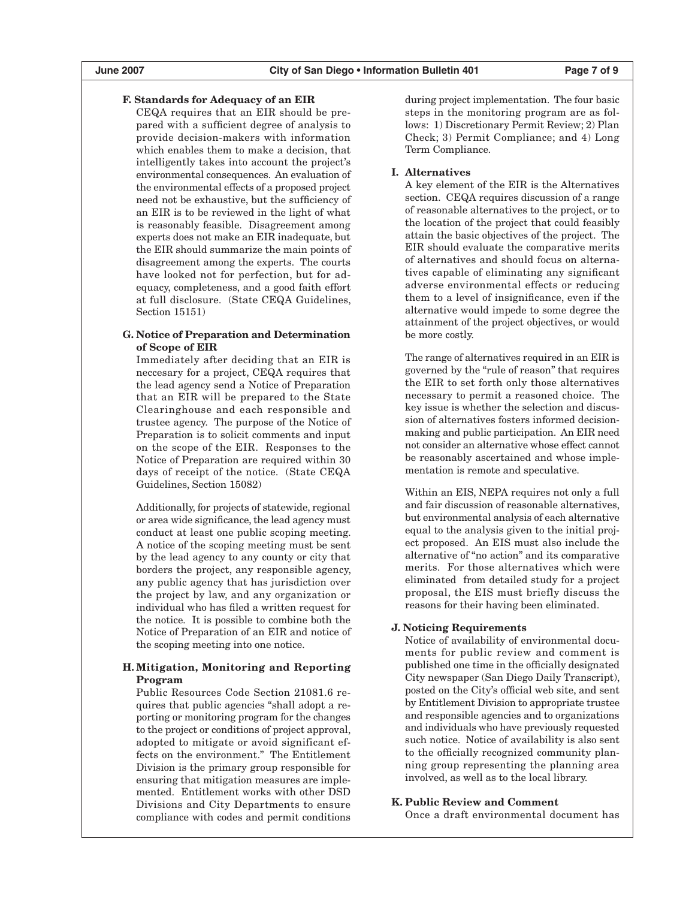### **F. Standards for Adequacy of an EIR**

CEQA requires that an EIR should be prepared with a sufficient degree of analysis to provide decision-makers with information which enables them to make a decision, that intelligently takes into account the project's environmental consequences. An evaluation of the environmental effects of a proposed project need not be exhaustive, but the sufficiency of an EIR is to be reviewed in the light of what is reasonably feasible. Disagreement among experts does not make an EIR inadequate, but the EIR should summarize the main points of disagreement among the experts. The courts have looked not for perfection, but for adequacy, completeness, and a good faith effort at full disclosure. (State CEQA Guidelines, Section 15151)

#### **G. Notice of Preparation and Determination of Scope of EIR**

Immediately after deciding that an EIR is neccesary for a project, CEQA requires that the lead agency send a Notice of Preparation that an EIR will be prepared to the State Clearinghouse and each responsible and trustee agency. The purpose of the Notice of Preparation is to solicit comments and input on the scope of the EIR. Responses to the Notice of Preparation are required within 30 days of receipt of the notice. (State CEQA Guidelines, Section 15082)

Additionally, for projects of statewide, regional or area wide significance, the lead agency must conduct at least one public scoping meeting. A notice of the scoping meeting must be sent by the lead agency to any county or city that borders the project, any responsible agency, any public agency that has jurisdiction over the project by law, and any organization or individual who has filed a written request for the notice. It is possible to combine both the Notice of Preparation of an EIR and notice of the scoping meeting into one notice.

#### **H. Mitigation, Monitoring and Reporting Program**

Public Resources Code Section 21081.6 requires that public agencies "shall adopt a reporting or monitoring program for the changes to the project or conditions of project approval, adopted to mitigate or avoid significant effects on the environment." The Entitlement Division is the primary group responsible for ensuring that mitigation measures are implemented. Entitlement works with other DSD Divisions and City Departments to ensure compliance with codes and permit conditions during project implementation. The four basic steps in the monitoring program are as follows: 1) Discretionary Permit Review; 2) Plan Check; 3) Permit Compliance; and 4) Long Term Compliance.

#### **I. Alternatives**

A key element of the EIR is the Alternatives section. CEQA requires discussion of a range of reasonable alternatives to the project, or to the location of the project that could feasibly attain the basic objectives of the project. The EIR should evaluate the comparative merits of alternatives and should focus on alternatives capable of eliminating any significant adverse environmental effects or reducing them to a level of insignificance, even if the alternative would impede to some degree the attainment of the project objectives, or would be more costly.

The range of alternatives required in an EIR is governed by the "rule of reason" that requires the EIR to set forth only those alternatives necessary to permit a reasoned choice. The key issue is whether the selection and discussion of alternatives fosters informed decisionmaking and public participation. An EIR need not consider an alternative whose effect cannot be reasonably ascertained and whose implementation is remote and speculative.

Within an EIS, NEPA requires not only a full and fair discussion of reasonable alternatives, but environmental analysis of each alternative equal to the analysis given to the initial project proposed. An EIS must also include the alternative of "no action" and its comparative merits. For those alternatives which were eliminated from detailed study for a project proposal, the EIS must briefly discuss the reasons for their having been eliminated.

#### **J. Noticing Requirements**

Notice of availability of environmental documents for public review and comment is published one time in the officially designated City newspaper (San Diego Daily Transcript), posted on the City's official web site, and sent by Entitlement Division to appropriate trustee and responsible agencies and to organizations and individuals who have previously requested such notice. Notice of availability is also sent to the officially recognized community planning group representing the planning area involved, as well as to the local library.

#### **K. Public Review and Comment**

Once a draft environmental document has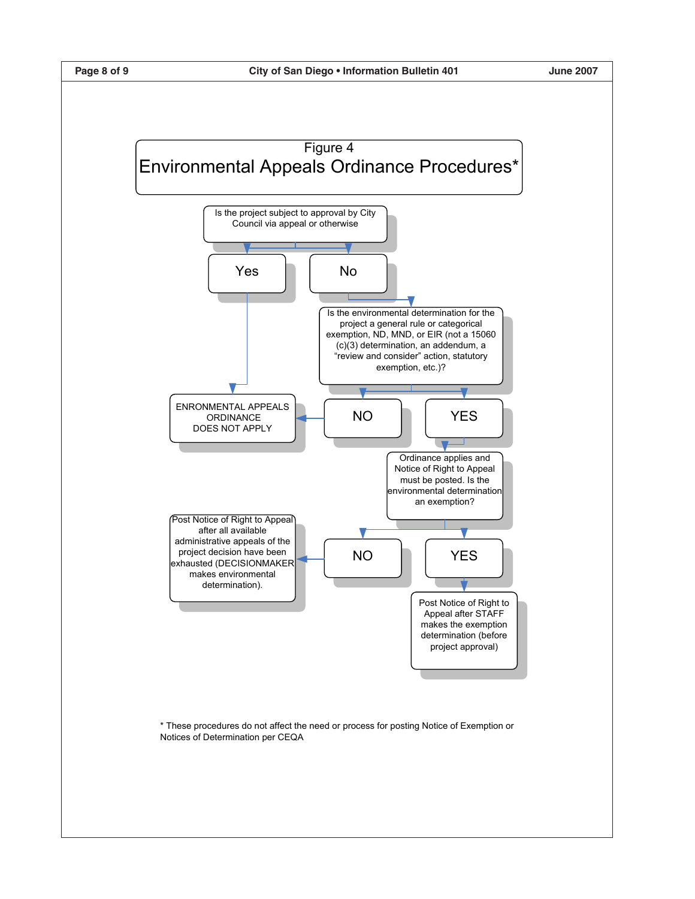

\* These procedures do not affect the need or process for posting Notice of Exemption or Notices of Determination per CEQA